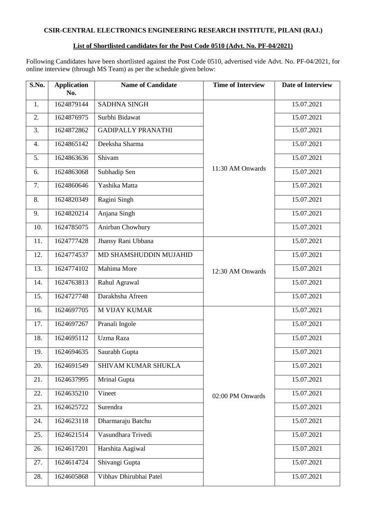# **CSIR-CENTRAL ELECTRONICS ENGINEERING RESEARCH INSTITUTE, PILANI (RAJ.)**

## **List of Shortlisted candidates for the Post Code 0510 (Advt. No. PF-04/2021)**

Following Candidates have been shortlisted against the Post Code 0510, advertised vide Advt. No. PF-04/2021, for online interview (through MS Team) as per the schedule given below:

| S.No. | <b>Application</b><br>No. | <b>Name of Candidate</b>  | <b>Time of Interview</b> | <b>Date of Interview</b> |
|-------|---------------------------|---------------------------|--------------------------|--------------------------|
| 1.    | 1624879144                | <b>SADHNA SINGH</b>       | 11:30 AM Onwards         | 15.07.2021               |
| 2.    | 1624876975                | Surbhi Bidawat            |                          | 15.07.2021               |
| 3.    | 1624872862                | <b>GADIPALLY PRANATHI</b> |                          | 15.07.2021               |
| 4.    | 1624865142                | Deeksha Sharma            |                          | 15.07.2021               |
| 5.    | 1624863636                | Shivam                    |                          | 15.07.2021               |
| 6.    | 1624863068                | Subhadip Sen              |                          | 15.07.2021               |
| 7.    | 1624860646                | Yashika Matta             |                          | 15.07.2021               |
| 8.    | 1624820349                | Ragini Singh              |                          | 15.07.2021               |
| 9.    | 1624820214                | Anjana Singh              |                          | 15.07.2021               |
| 10.   | 1624785075                | Anirban Chowhury          |                          | 15.07.2021               |
| 11.   | 1624777428                | Jhansy Rani Ubbana        |                          | 15.07.2021               |
| 12.   | 1624774537                | MD SHAMSHUDDIN MUJAHID    |                          | 15.07.2021               |
| 13.   | 1624774102                | Mahima More               | 12:30 AM Onwards         | 15.07.2021               |
| 14.   | 1624763813                | Rahul Agrawal             |                          | 15.07.2021               |
| 15.   | 1624727748                | Darakhsha Afreen          |                          | 15.07.2021               |
| 16.   | 1624697705                | <b>M VIJAY KUMAR</b>      |                          | 15.07.2021               |
| 17.   | 1624697267                | Pranali Ingole            | 02:00 PM Onwards         | 15.07.2021               |
| 18.   | 1624695112                | Uzma Raza                 |                          | 15.07.2021               |
| 19.   | 1624694635                | Saurabh Gupta             |                          | 15.07.2021               |
| 20.   | 1624691549                | SHIVAM KUMAR SHUKLA       |                          | 15.07.2021               |
| 21.   | 1624637995                | Mrinal Gupta              |                          | 15.07.2021               |
| 22.   | 1624635210                | Vineet                    |                          | 15.07.2021               |
| 23.   | 1624625722                | Surendra                  |                          | 15.07.2021               |
| 24.   | 1624623118                | Dharmaraju Batchu         |                          | 15.07.2021               |
| 25.   | 1624621514                | Vasundhara Trivedi        |                          | 15.07.2021               |
| 26.   | 1624617201                | Harshita Aagiwal          |                          | 15.07.2021               |
| 27.   | 1624614724                | Shivangi Gupta            |                          | 15.07.2021               |
| 28.   | 1624605868                | Vibhav Dhirubhai Patel    |                          | 15.07.2021               |